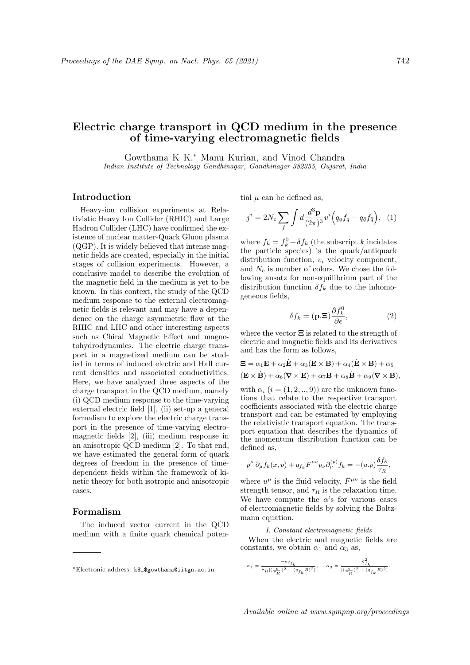# Electric charge transport in QCD medium in the presence of time-varying electromagnetic fields

Gowthama K K,<sup>∗</sup> Manu Kurian, and Vinod Chandra Indian Institute of Technology Gandhinagar, Gandhinagar-382355, Gujarat, India

## Introduction

Heavy-ion collision experiments at Relativistic Heavy Ion Collider (RHIC) and Large Hadron Collider (LHC) have confirmed the existence of nuclear matter-Quark Gluon plasma (QGP). It is widely believed that intense magnetic fields are created, especially in the initial stages of collision experiments. However, a conclusive model to describe the evolution of the magnetic field in the medium is yet to be known. In this context, the study of the QCD medium response to the external electromagnetic fields is relevant and may have a dependence on the charge asymmetric flow at the RHIC and LHC and other interesting aspects such as Chiral Magnetic Effect and magnetohydrodynamics. The electric charge transport in a magnetized medium can be studied in terms of induced electric and Hall current densities and associated conductivities. Here, we have analyzed three aspects of the charge transport in the QCD medium, namely (i) QCD medium response to the time-varying external electric field [1], (ii) set-up a general formalism to explore the electric charge transport in the presence of time-varying electromagnetic fields [2], (iii) medium response in an anisotropic QCD medium [2]. To that end, we have estimated the general form of quark degrees of freedom in the presence of timedependent fields within the framework of kinetic theory for both isotropic and anisotropic cases.

## Formalism

The induced vector current in the QCD medium with a finite quark chemical potential  $\mu$  can be defined as,

$$
j^{i} = 2N_{c} \sum_{f} \int d \frac{d^{3} \mathbf{p}}{(2\pi)^{3}} v^{i} \left( q_{q} f_{q} - q_{\bar{q}} f_{\bar{q}} \right), (1)
$$

where  $f_k = f_k^0 + \delta f_k$  (the subscript k incidates the particle species) is the quark/antiquark distribution function,  $v_i$  velocity component, and  $N_c$  is number of colors. We chose the following ansatz for non-equilibrium part of the distribution function  $\delta f_k$  due to the inhomogeneous fields,

$$
\delta f_k = (\mathbf{p}.\Xi) \frac{\partial f_k^0}{\partial \epsilon},\tag{2}
$$

where the vector  $\Xi$  is related to the strength of electric and magnetic fields and its derivatives and has the form as follows,

$$
\mathbf{\Xi} = \alpha_1 \mathbf{E} + \alpha_2 \dot{\mathbf{E}} + \alpha_3 (\mathbf{E} \times \mathbf{B}) + \alpha_4 (\dot{\mathbf{E}} \times \mathbf{B}) + \alpha_5 \n(\mathbf{E} \times \dot{\mathbf{B}}) + \alpha_6 (\nabla \times \mathbf{E}) + \alpha_7 \mathbf{B} + \alpha_8 \dot{\mathbf{B}} + \alpha_9 (\nabla \times \mathbf{B}),
$$

with  $\alpha_i$   $(i = (1, 2, \ldots, 9))$  are the unknown functions that relate to the respective transport coefficients associated with the electric charge transport and can be estimated by employing the relativistic transport equation. The transport equation that describes the dynamics of the momentum distribution function can be defined as,

$$
p^{\mu} \partial_{\mu} f_k(x, p) + q_{f_k} F^{\mu\nu} p_{\nu} \partial_{\mu}^{(p)} f_k = -(u.p) \frac{\delta f_k}{\tau_R},
$$

where  $u^{\mu}$  is the fluid velocity,  $F^{\mu\nu}$  is the field strength tensor, and  $\tau_R$  is the relaxation time. We have compute the  $\alpha$ 's for various cases of electromagnetic fields by solving the Boltzmann equation.

## I. Constant electromagnetic fields

When the electric and magnetic fields are constants, we obtain  $\alpha_1$  and  $\alpha_3$  as,

$$
\alpha_1=\dfrac{-\epsilon q_{f_k}}{\tau_R[(\frac{\epsilon}{\tau_R})^2+(q_{f_k}B)^2]},\quad \ \alpha_3=\dfrac{-q_{f_k}^2}{[(\frac{\epsilon}{\tau_R})^2+(q_{f_k}B)^2]}.
$$

<sup>∗</sup>Electronic address: k\$\_\$gowthama@iitgn.ac.in